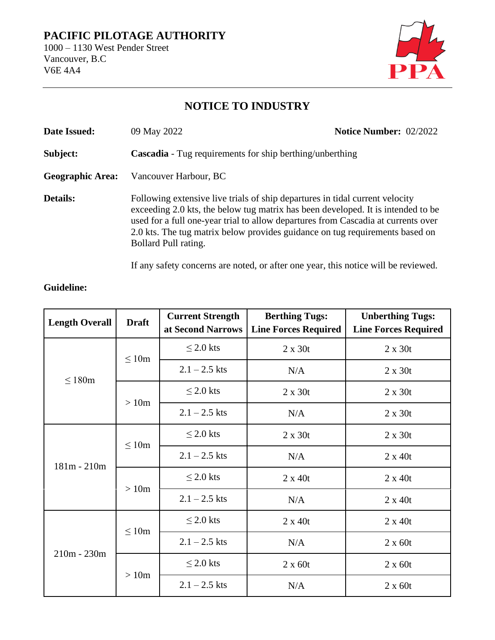## **PACIFIC PILOTAGE AUTHORITY**

1000 – 1130 West Pender Street Vancouver, B.C V6E 4A4



## **NOTICE TO INDUSTRY**

| Date Issued:            | 09 May 2022                                                                                                                                                                                                                                                                                                                                                   | <b>Notice Number: 02/2022</b> |  |  |  |
|-------------------------|---------------------------------------------------------------------------------------------------------------------------------------------------------------------------------------------------------------------------------------------------------------------------------------------------------------------------------------------------------------|-------------------------------|--|--|--|
| Subject:                | <b>Cascadia</b> - Tug requirements for ship berthing/unberthing                                                                                                                                                                                                                                                                                               |                               |  |  |  |
| <b>Geographic Area:</b> | Vancouver Harbour, BC                                                                                                                                                                                                                                                                                                                                         |                               |  |  |  |
| <b>Details:</b>         | Following extensive live trials of ship departures in tidal current velocity<br>exceeding 2.0 kts, the below tug matrix has been developed. It is intended to be<br>used for a full one-year trial to allow departures from Cascadia at currents over<br>2.0 kts. The tug matrix below provides guidance on tug requirements based on<br>Bollard Pull rating. |                               |  |  |  |

If any safety concerns are noted, or after one year, this notice will be reviewed.

| <b>Length Overall</b> | <b>Draft</b> | <b>Current Strength</b><br>at Second Narrows | <b>Berthing Tugs:</b><br><b>Line Forces Required</b> | <b>Unberthing Tugs:</b><br><b>Line Forces Required</b> |
|-----------------------|--------------|----------------------------------------------|------------------------------------------------------|--------------------------------------------------------|
| $\leq 180m$           | $\leq 10m$   | $\leq$ 2.0 kts                               | $2 \times 30t$                                       | $2 \times 30t$                                         |
|                       |              | $2.1 - 2.5$ kts                              | N/A                                                  | $2 \times 30t$                                         |
|                       | >10m         | $\leq$ 2.0 kts                               | $2 \times 30t$                                       | $2 \times 30t$                                         |
|                       |              | $2.1 - 2.5$ kts                              | N/A                                                  | $2 \times 30t$                                         |
| $181m - 210m$         | $\leq 10m$   | $\leq$ 2.0 kts                               | $2 \times 30t$                                       | $2 \times 30t$                                         |
|                       |              | $2.1 - 2.5$ kts                              | N/A                                                  | $2 \times 40t$                                         |
|                       | >10m         | $\leq$ 2.0 kts                               | $2 \times 40t$                                       | $2 \times 40t$                                         |
|                       |              | $2.1 - 2.5$ kts                              | N/A                                                  | $2 \times 40t$                                         |
| $210m - 230m$         | $\leq 10m$   | $\leq$ 2.0 kts                               | $2 \times 40t$                                       | $2 \times 40t$                                         |
|                       |              | $2.1 - 2.5$ kts                              | N/A                                                  | $2 \times 60t$                                         |
|                       | >10m         | $\leq$ 2.0 kts                               | $2 \times 60t$                                       | $2 \times 60t$                                         |
|                       |              | $2.1 - 2.5$ kts                              | N/A                                                  | $2 \times 60t$                                         |

## **Guideline:**